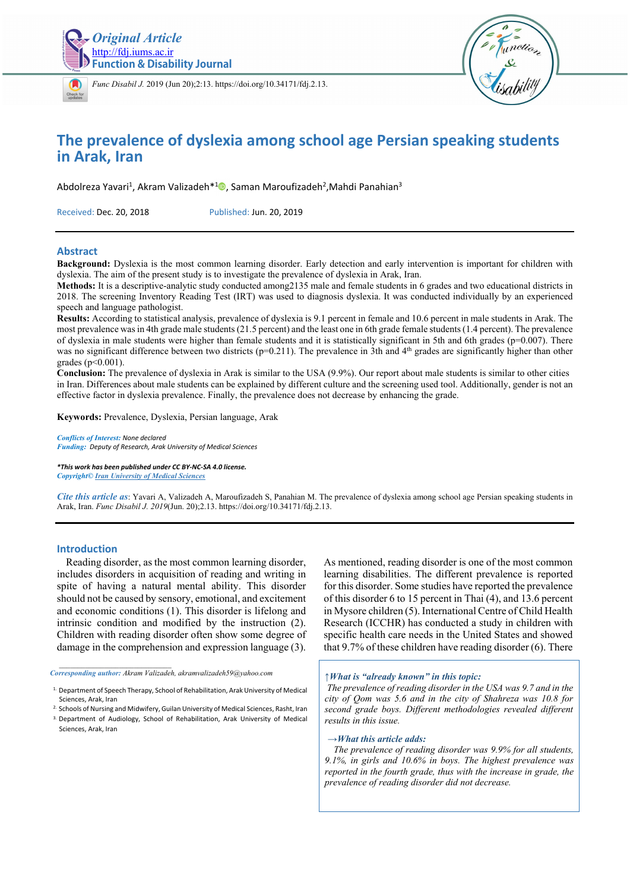



*[Func D](https://crossmark.crossref.org/dialog/?doi=10.34171/fdj.2.13)isabil J.* 2019 (Jun 20);2:13. https://doi.org/10.34171/fdj.2.13.



## **The prevalence of dyslexia among school age Persian speaking students in Arak, Iran**

Abdolreza Yavari<sup>1</sup>, Akram Valizadeh<sup>\*1</sup><sup>0</sup>, Saman Maroufizadeh<sup>2</sup>,Mahdi Panahian<sup>3</sup>

Received: Dec. 20, 2018 Published: Jun. 20, 2019

#### **Abstract**

**Background:** Dyslexia is the most common learning disorder. Early detection and early intervention is important for children with dyslexia. The aim of the present study is to investigate the prevalence of dyslexia in Arak, Iran.

**Methods:** It is a descriptive-analytic study conducted among2135 male and female students in 6 grades and two educational districts in 2018. The screening Inventory Reading Test (IRT) was used to diagnosis dyslexia. It was conducted individually by an experienced speech and language pathologist.

**Results:** According to statistical analysis, prevalence of dyslexia is 9.1 percent in female and 10.6 percent in male students in Arak. The most prevalence was in 4th grade male students (21.5 percent) and the least one in 6th grade female students (1.4 percent). The prevalence of dyslexia in male students were higher than female students and it is statistically significant in 5th and 6th grades ( $p=0.007$ ). There was no significant difference between two districts (p=0.211). The prevalence in 3th and 4<sup>th</sup> grades are significantly higher than other grades (p<0.001).

**Conclusion:** The prevalence of dyslexia in Arak is similar to the USA (9.9%). Our report about male students is similar to other cities in Iran. Differences about male students can be explained by different culture and the screening used tool. Additionally, gender is not an effective factor in dyslexia prevalence. Finally, the prevalence does not decrease by enhancing the grade.

**Keywords:** Prevalence, Dyslexia, Persian language, Arak

*Conflicts of Interest: None declared Funding: Deputy of Research, Arak University of Medical Sciences* 

*\*This work has been published under CC BY-NC-SA 4.0 license. Copyright© Iran University of Medical Sciences*

*Cite this article as*: Yavari A, Valizadeh A, Maroufizadeh S, Panahian M. The prevalence of dyslexia among school age Persian speaking students in Arak, Iran. *Func Disabil J. 2019*(Jun. 20);2.13. https://doi.org/10.34171/fdj.2.13.

#### **Introduction**

Reading disorder, as the most common learning disorder, includes disorders in acquisition of reading and writing in spite of having a natural mental ability. This disorder should not be caused by sensory, emotional, and excitement and economic conditions (1). This disorder is lifelong and intrinsic condition and modified by the instruction (2). Children with reading disorder often show some degree of damage in the comprehension and expression language (3).

*Corresponding author: Akram Valizadeh, akramvalizadeh59@yahoo.com* 

*\_\_\_\_\_\_\_\_\_\_\_\_\_\_\_\_\_\_\_\_\_\_\_\_\_\_\_\_\_\_* 

<sup>3.</sup> Department of Audiology, School of Rehabilitation, Arak University of Medical Sciences, Arak, Iran

As mentioned, reading disorder is one of the most common learning disabilities. The different prevalence is reported for this disorder. Some studies have reported the prevalence of this disorder 6 to 15 percent in Thai (4), and 13.6 percent in Mysore children (5). International Centre of Child Health Research (ICCHR) has conducted a study in children with specific health care needs in the United States and showed that 9.7% of these children have reading disorder (6). There

*↑What is "already known" in this topic:* 

*The prevalence of reading disorder in the USA was 9.7 and in the city of Qom was 5.6 and in the city of Shahreza was 10.8 for second grade boys. Different methodologies revealed different results in this issue.* 

#### *→What this article adds:*

*The prevalence of reading disorder was 9.9% for all students, 9.1%, in girls and 10.6% in boys. The highest prevalence was reported in the fourth grade, thus with the increase in grade, the prevalence of reading disorder did not decrease.* 

<sup>1.</sup> Department of Speech Therapy, School of Rehabilitation, Arak University of Medical Sciences, Arak, Iran

<sup>2.</sup> Schools of Nursing and Midwifery, Guilan University of Medical Sciences, Rasht, Iran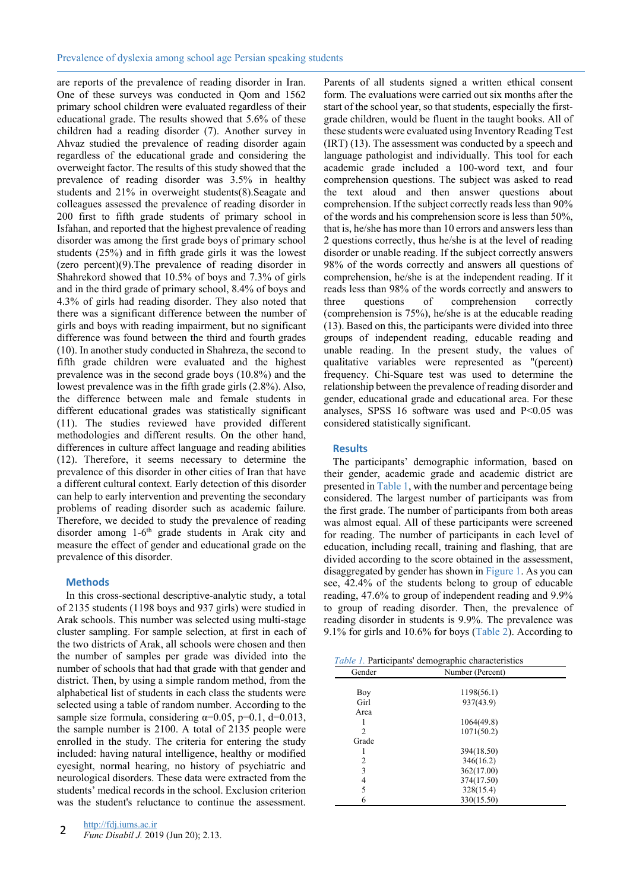are reports of the prevalence of reading disorder in Iran. One of these surveys was conducted in Qom and 1562 primary school children were evaluated regardless of their educational grade. The results showed that 5.6% of these children had a reading disorder (7). Another survey in Ahvaz studied the prevalence of reading disorder again regardless of the educational grade and considering the overweight factor. The results of this study showed that the prevalence of reading disorder was 3.5% in healthy students and 21% in overweight students(8).Seagate and colleagues assessed the prevalence of reading disorder in 200 first to fifth grade students of primary school in Isfahan, and reported that the highest prevalence of reading disorder was among the first grade boys of primary school students (25%) and in fifth grade girls it was the lowest (zero percent)(9).The prevalence of reading disorder in Shahrekord showed that 10.5% of boys and 7.3% of girls and in the third grade of primary school, 8.4% of boys and 4.3% of girls had reading disorder. They also noted that there was a significant difference between the number of girls and boys with reading impairment, but no significant difference was found between the third and fourth grades (10). In another study conducted in Shahreza, the second to fifth grade children were evaluated and the highest prevalence was in the second grade boys (10.8%) and the lowest prevalence was in the fifth grade girls (2.8%). Also, the difference between male and female students in different educational grades was statistically significant (11). The studies reviewed have provided different methodologies and different results. On the other hand, differences in culture affect language and reading abilities (12). Therefore, it seems necessary to determine the prevalence of this disorder in other cities of Iran that have a different cultural context. Early detection of this disorder can help to early intervention and preventing the secondary problems of reading disorder such as academic failure. Therefore, we decided to study the prevalence of reading disorder among 1-6<sup>th</sup> grade students in Arak city and measure the effect of gender and educational grade on the prevalence of this disorder.

#### **Methods**

In this cross-sectional descriptive-analytic study, a total of 2135 students (1198 boys and 937 girls) were studied in Arak schools. This number was selected using multi-stage cluster sampling. For sample selection, at first in each of the two districts of Arak, all schools were chosen and then the number of samples per grade was divided into the number of schools that had that grade with that gender and district. Then, by using a simple random method, from the alphabetical list of students in each class the students were selected using a table of random number. According to the sample size formula, considering  $\alpha=0.05$ , p=0.1, d=0.013, the sample number is 2100. A total of 2135 people were enrolled in the study. The criteria for entering the study included: having natural intelligence, healthy or modified eyesight, normal hearing, no history of psychiatric and neurological disorders. These data were extracted from the students' medical records in the school. Exclusion criterion was the student's reluctance to continue the assessment.

Parents of all students signed a written ethical consent form. The evaluations were carried out six months after the start of the school year, so that students, especially the firstgrade children, would be fluent in the taught books. All of these students were evaluated using Inventory Reading Test (IRT) (13). The assessment was conducted by a speech and language pathologist and individually. This tool for each academic grade included a 100-word text, and four comprehension questions. The subject was asked to read the text aloud and then answer questions about comprehension. If the subject correctly reads less than 90% of the words and his comprehension score is less than 50%, that is, he/she has more than 10 errors and answers less than 2 questions correctly, thus he/she is at the level of reading disorder or unable reading. If the subject correctly answers 98% of the words correctly and answers all questions of comprehension, he/she is at the independent reading. If it reads less than 98% of the words correctly and answers to three questions of comprehension correctly (comprehension is 75%), he/she is at the educable reading (13). Based on this, the participants were divided into three groups of independent reading, educable reading and unable reading. In the present study, the values of qualitative variables were represented as "(percent) frequency. Chi-Square test was used to determine the relationship between the prevalence of reading disorder and gender, educational grade and educational area. For these analyses, SPSS 16 software was used and P<0.05 was considered statistically significant.

#### **Results**

The participants' demographic information, based on their gender, academic grade and academic district are presented in Table 1, with the number and percentage being considered. The largest number of participants was from the first grade. The number of participants from both areas was almost equal. All of these participants were screened for reading. The number of participants in each level of education, including recall, training and flashing, that are divided according to the score obtained in the assessment, disaggregated by gender has shown in Figure 1. As you can see, 42.4% of the students belong to group of educable reading, 47.6% to group of independent reading and 9.9% to group of reading disorder. Then, the prevalence of reading disorder in students is 9.9%. The prevalence was 9.1% for girls and 10.6% for boys (Table 2). According to

|  | Table 1. Participants' demographic characteristics |
|--|----------------------------------------------------|
|  |                                                    |

| <i>rable 1.</i> I articipants demographic characteristics |                  |  |  |  |  |
|-----------------------------------------------------------|------------------|--|--|--|--|
| Gender                                                    | Number (Percent) |  |  |  |  |
|                                                           |                  |  |  |  |  |
| Boy                                                       | 1198(56.1)       |  |  |  |  |
| Girl                                                      | 937(43.9)        |  |  |  |  |
| Area                                                      |                  |  |  |  |  |
|                                                           | 1064(49.8)       |  |  |  |  |
| 2                                                         | 1071(50.2)       |  |  |  |  |
| Grade                                                     |                  |  |  |  |  |
|                                                           | 394(18.50)       |  |  |  |  |
| 2                                                         | 346(16.2)        |  |  |  |  |
| 3                                                         | 362(17.00)       |  |  |  |  |
| 4                                                         | 374(17.50)       |  |  |  |  |
| 5                                                         | 328(15.4)        |  |  |  |  |
| 6                                                         | 330(15.50)       |  |  |  |  |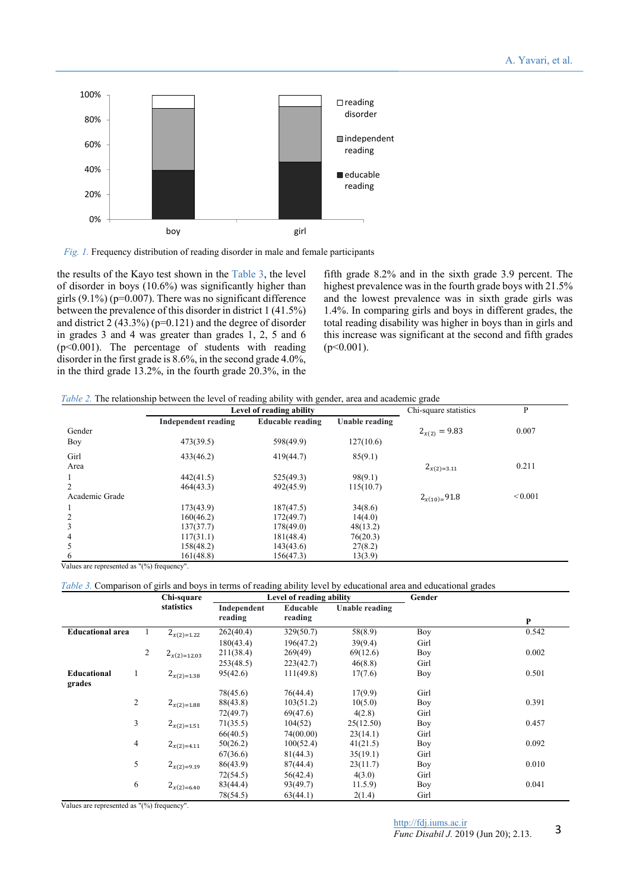

*Fig. 1.* Frequency distribution of reading disorder in male and female participants

the results of the Kayo test shown in the Table 3, the level of disorder in boys (10.6%) was significantly higher than girls  $(9.1\%)$  ( $p=0.007$ ). There was no significant difference between the prevalence of this disorder in district 1 (41.5%) and district  $2(43.3\%)$  (p=0.121) and the degree of disorder in grades 3 and 4 was greater than grades 1, 2, 5 and 6  $(p<0.001)$ . The percentage of students with reading disorder in the first grade is 8.6%, in the second grade 4.0%, in the third grade 13.2%, in the fourth grade 20.3%, in the

fifth grade 8.2% and in the sixth grade 3.9 percent. The highest prevalence was in the fourth grade boys with 21.5% and the lowest prevalence was in sixth grade girls was 1.4%. In comparing girls and boys in different grades, the total reading disability was higher in boys than in girls and this increase was significant at the second and fifth grades  $(p<0.001)$ .

| Table 2. The relationship between the level of reading ability with gender, area and academic grade |  |
|-----------------------------------------------------------------------------------------------------|--|
|-----------------------------------------------------------------------------------------------------|--|

|                | Level of reading ability |                  |                | Chi-square statistics | P       |  |
|----------------|--------------------------|------------------|----------------|-----------------------|---------|--|
|                | Independent reading      | Educable reading | Unable reading |                       |         |  |
| Gender         |                          |                  |                | $2_{x(2)} = 9.83$     | 0.007   |  |
| Boy            | 473(39.5)                | 598(49.9)        | 127(10.6)      |                       |         |  |
| Girl           | 433(46.2)                | 419(44.7)        | 85(9.1)        |                       |         |  |
| Area           |                          |                  |                | $2_{x(2)=3.11}$       | 0.211   |  |
|                | 442(41.5)                | 525(49.3)        | 98(9.1)        |                       |         |  |
|                | 464(43.3)                | 492(45.9)        | 115(10.7)      |                       |         |  |
| Academic Grade |                          |                  |                | $2_{x(10)}=91.8$      | < 0.001 |  |
|                | 173(43.9)                | 187(47.5)        | 34(8.6)        |                       |         |  |
|                | 160(46.2)                | 172(49.7)        | 14(4.0)        |                       |         |  |
|                | 137(37.7)                | 178(49.0)        | 48(13.2)       |                       |         |  |
| 4              | 117(31.1)                | 181(48.4)        | 76(20.3)       |                       |         |  |
|                | 158(48.2)                | 143(43.6)        | 27(8.2)        |                       |         |  |
| 6              | 161(48.8)                | 156(47.3)        | 13(3.9)        |                       |         |  |

Values are represented as "(%) frequency".

*Table 3.* Comparison of girls and boys in terms of reading ability level by educational area and educational grades

|                         |                | Chi-square<br>statistics |                        | Level of reading ability |                       | Gender |       |
|-------------------------|----------------|--------------------------|------------------------|--------------------------|-----------------------|--------|-------|
|                         |                |                          | Independent<br>reading | Educable<br>reading      | <b>Unable reading</b> |        | P     |
| <b>Educational area</b> |                | $2_{x(2)=1.22}$          | 262(40.4)              | 329(50.7)                | 58(8.9)               | Boy    | 0.542 |
|                         |                |                          | 180(43.4)              | 196(47.2)                | 39(9.4)               | Girl   |       |
|                         | $\overline{c}$ | $2_{x(2)=12.03}$         | 211(38.4)              | 269(49)                  | 69(12.6)              | Boy    | 0.002 |
|                         |                |                          | 253(48.5)              | 223(42.7)                | 46(8.8)               | Girl   |       |
| Educational<br>grades   | $\perp$        | $2_{x(2)=1.38}$          | 95(42.6)               | 111(49.8)                | 17(7.6)               | Boy    | 0.501 |
|                         |                |                          | 78(45.6)               | 76(44.4)                 | 17(9.9)               | Girl   |       |
|                         | 2              | $2_{x(2)=1.88}$          | 88(43.8)               | 103(51.2)                | 10(5.0)               | Boy    | 0.391 |
|                         |                |                          | 72(49.7)               | 69(47.6)                 | 4(2.8)                | Girl   |       |
|                         | 3              | $2_{x(2)=1.51}$          | 71(35.5)               | 104(52)                  | 25(12.50)             | Boy    | 0.457 |
|                         |                |                          | 66(40.5)               | 74(00.00)                | 23(14.1)              | Girl   |       |
|                         | 4              | $2_{x(2)=4.11}$          | 50(26.2)               | 100(52.4)                | 41(21.5)              | Boy    | 0.092 |
|                         |                |                          | 67(36.6)               | 81(44.3)                 | 35(19.1)              | Girl   |       |
|                         | 5              | $2_{x(2)=9.19}$          | 86(43.9)               | 87(44.4)                 | 23(11.7)              | Boy    | 0.010 |
|                         |                |                          | 72(54.5)               | 56(42.4)                 | 4(3.0)                | Girl   |       |
|                         | 6              | $2_{x(2)=6.40}$          | 83(44.4)               | 93(49.7)                 | 11.5.9                | Boy    | 0.041 |
|                         |                |                          | 78(54.5)               | 63(44.1)                 | 2(1.4)                | Girl   |       |

Values are represented as "(%) frequency".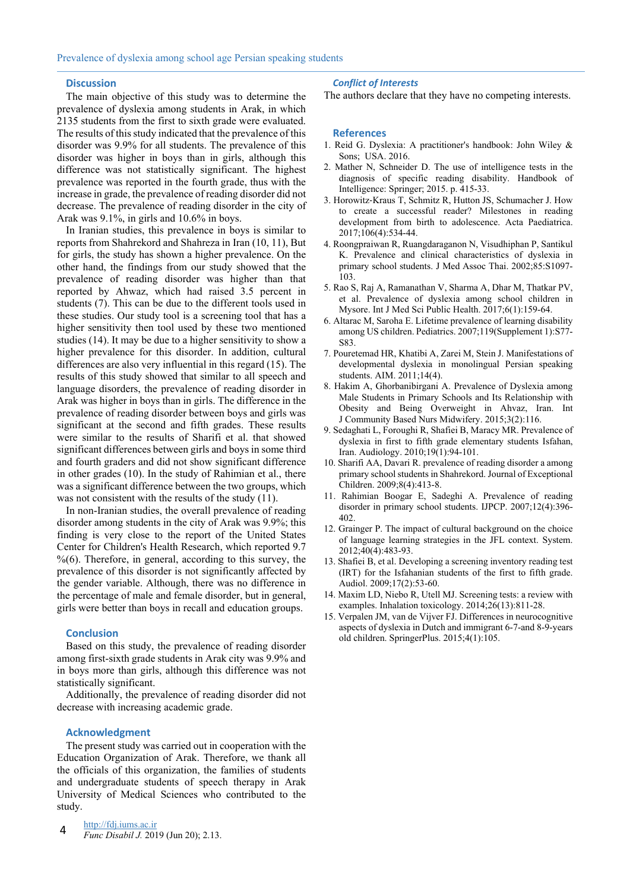#### **Discussion**

The main objective of this study was to determine the prevalence of dyslexia among students in Arak, in which 2135 students from the first to sixth grade were evaluated. The results of this study indicated that the prevalence of this disorder was 9.9% for all students. The prevalence of this disorder was higher in boys than in girls, although this difference was not statistically significant. The highest prevalence was reported in the fourth grade, thus with the increase in grade, the prevalence of reading disorder did not decrease. The prevalence of reading disorder in the city of Arak was 9.1%, in girls and 10.6% in boys.

In Iranian studies, this prevalence in boys is similar to reports from Shahrekord and Shahreza in Iran (10, 11), But for girls, the study has shown a higher prevalence. On the other hand, the findings from our study showed that the prevalence of reading disorder was higher than that reported by Ahwaz, which had raised 3.5 percent in students (7). This can be due to the different tools used in these studies. Our study tool is a screening tool that has a higher sensitivity then tool used by these two mentioned studies (14). It may be due to a higher sensitivity to show a higher prevalence for this disorder. In addition, cultural differences are also very influential in this regard (15). The results of this study showed that similar to all speech and language disorders, the prevalence of reading disorder in Arak was higher in boys than in girls. The difference in the prevalence of reading disorder between boys and girls was significant at the second and fifth grades. These results were similar to the results of Sharifi et al. that showed significant differences between girls and boys in some third and fourth graders and did not show significant difference in other grades (10). In the study of Rahimian et al., there was a significant difference between the two groups, which was not consistent with the results of the study (11).

In non-Iranian studies, the overall prevalence of reading disorder among students in the city of Arak was 9.9%; this finding is very close to the report of the United States Center for Children's Health Research, which reported 9.7  $% (6)$ . Therefore, in general, according to this survey, the prevalence of this disorder is not significantly affected by the gender variable. Although, there was no difference in the percentage of male and female disorder, but in general, girls were better than boys in recall and education groups.

#### **Conclusion**

Based on this study, the prevalence of reading disorder among first-sixth grade students in Arak city was 9.9% and in boys more than girls, although this difference was not statistically significant.

Additionally, the prevalence of reading disorder did not decrease with increasing academic grade.

#### **Acknowledgment**

The present study was carried out in cooperation with the Education Organization of Arak. Therefore, we thank all the officials of this organization, the families of students and undergraduate students of speech therapy in Arak University of Medical Sciences who contributed to the study.

#### *Conflict of Interests*

The authors declare that they have no competing interests.

### **References**

- 1. Reid G. Dyslexia: A practitioner's handbook: John Wiley & Sons; USA. 2016.
- 2. Mather N, Schneider D. The use of intelligence tests in the diagnosis of specific reading disability. Handbook of Intelligence: Springer; 2015. p. 415-33.
- 3. Horowitz‐Kraus T, Schmitz R, Hutton JS, Schumacher J. How to create a successful reader? Milestones in reading development from birth to adolescence. Acta Paediatrica. 2017;106(4):534-44.
- 4. Roongpraiwan R, Ruangdaraganon N, Visudhiphan P, Santikul K. Prevalence and clinical characteristics of dyslexia in primary school students. J Med Assoc Thai. 2002;85:S1097- 103.
- 5. Rao S, Raj A, Ramanathan V, Sharma A, Dhar M, Thatkar PV, et al. Prevalence of dyslexia among school children in Mysore. Int J Med Sci Public Health. 2017;6(1):159-64.
- 6. Altarac M, Saroha E. Lifetime prevalence of learning disability among US children. Pediatrics. 2007;119(Supplement 1):S77- S83.
- 7. Pouretemad HR, Khatibi A, Zarei M, Stein J. Manifestations of developmental dyslexia in monolingual Persian speaking students. AIM. 2011;14(4).
- 8. Hakim A, Ghorbanibirgani A. Prevalence of Dyslexia among Male Students in Primary Schools and Its Relationship with Obesity and Being Overweight in Ahvaz, Iran. Int J Community Based Nurs Midwifery. 2015;3(2):116.
- 9. Sedaghati L, Foroughi R, Shafiei B, Maracy MR. Prevalence of dyslexia in first to fifth grade elementary students Isfahan, Iran. Audiology. 2010;19(1):94-101.
- 10. Sharifi AA, Davari R. prevalence of reading disorder a among primary school students in Shahrekord. Journal of Exceptional Children. 2009;8(4):413-8.
- 11. Rahimian Boogar E, Sadeghi A. Prevalence of reading disorder in primary school students. IJPCP. 2007;12(4):396- 402.
- 12. Grainger P. The impact of cultural background on the choice of language learning strategies in the JFL context. System. 2012;40(4):483-93.
- 13. Shafiei B, et al. Developing a screening inventory reading test (IRT) for the Isfahanian students of the first to fifth grade. Audiol. 2009;17(2):53-60.
- 14. Maxim LD, Niebo R, Utell MJ. Screening tests: a review with examples. Inhalation toxicology. 2014;26(13):811-28.
- 15. Verpalen JM, van de Vijver FJ. Differences in neurocognitive aspects of dyslexia in Dutch and immigrant 6-7-and 8-9-years old children. SpringerPlus. 2015;4(1):105.